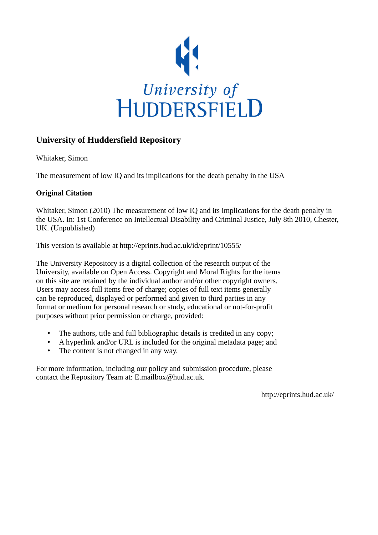

# **University of Huddersfield Repository**

Whitaker, Simon

The measurement of low IQ and its implications for the death penalty in the USA

## **Original Citation**

Whitaker, Simon (2010) The measurement of low IQ and its implications for the death penalty in the USA. In: 1st Conference on Intellectual Disability and Criminal Justice, July 8th 2010, Chester, UK. (Unpublished)

This version is available at http://eprints.hud.ac.uk/id/eprint/10555/

The University Repository is a digital collection of the research output of the University, available on Open Access. Copyright and Moral Rights for the items on this site are retained by the individual author and/or other copyright owners. Users may access full items free of charge; copies of full text items generally can be reproduced, displayed or performed and given to third parties in any format or medium for personal research or study, educational or not-for-profit purposes without prior permission or charge, provided:

- The authors, title and full bibliographic details is credited in any copy;
- A hyperlink and/or URL is included for the original metadata page; and
- The content is not changed in any way.

For more information, including our policy and submission procedure, please contact the Repository Team at: E.mailbox@hud.ac.uk.

http://eprints.hud.ac.uk/